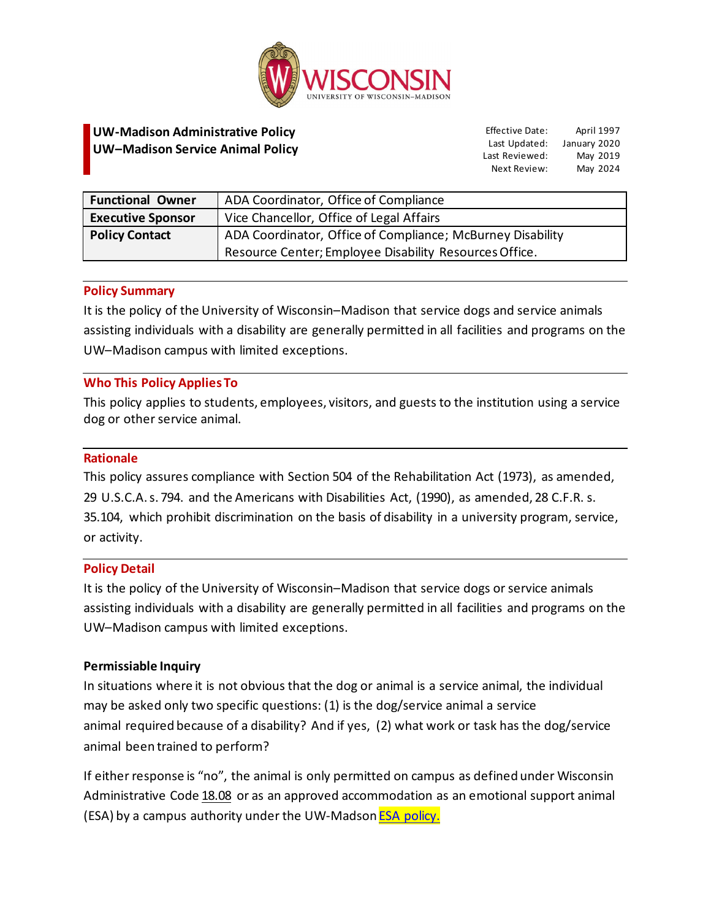

# **UW-Madison Administrative Policy UW–Madison Service Animal Policy**

Effective Date: Last Updated: January 2020 Last Reviewed: Next Review: April 1997 May 2019 May 2024

| <b>Functional Owner</b>  | ADA Coordinator, Office of Compliance                      |
|--------------------------|------------------------------------------------------------|
| <b>Executive Sponsor</b> | Vice Chancellor, Office of Legal Affairs                   |
| <b>Policy Contact</b>    | ADA Coordinator, Office of Compliance; McBurney Disability |
|                          | Resource Center; Employee Disability Resources Office.     |

# **Policy Summary**

It is the policy of the University of Wisconsin–Madison that service dogs and service animals assisting individuals with a disability are generally permitted in all facilities and programs on the UW–Madison campus with limited exceptions.

# **Who This Policy Applies To**

This policy applies to students, employees, visitors, and guests to the institution using a service dog or other service animal.

#### **Rationale**

This policy assures compliance with Section 504 of the Rehabilitation Act (1973), as amended, 29 U.S.C.A.s. 794. and the Americans with Disabilities Act, (1990), as amended, 28 C.F.R. s. 35.104, which prohibit discrimination on the basis of disability in a university program, service, or activity.

#### **Policy Detail**

It is the policy of the University of Wisconsin–Madison that service dogs or service animals assisting individuals with a disability are generally permitted in all facilities and programs on the UW–Madison campus with limited exceptions.

#### **Permissiable Inquiry**

In situations where it is not obvious that the dog or animal is a service animal, the individual may be asked only two specific questions: (1) is the dog/service animal a service animal required because of a disability? And if yes, (2) what work or task has the dog/service animal been trained to perform?

If either response is "no", the animal is only permitted on campus as defined under Wisconsin Administrative Code [18.08](https://docs.legis.wisconsin.gov/code/admin_code/uws/18/08) or as an approved accommodation as an emotional support animal (ESA) by a campus authority under the UW-Madson **ESA policy.**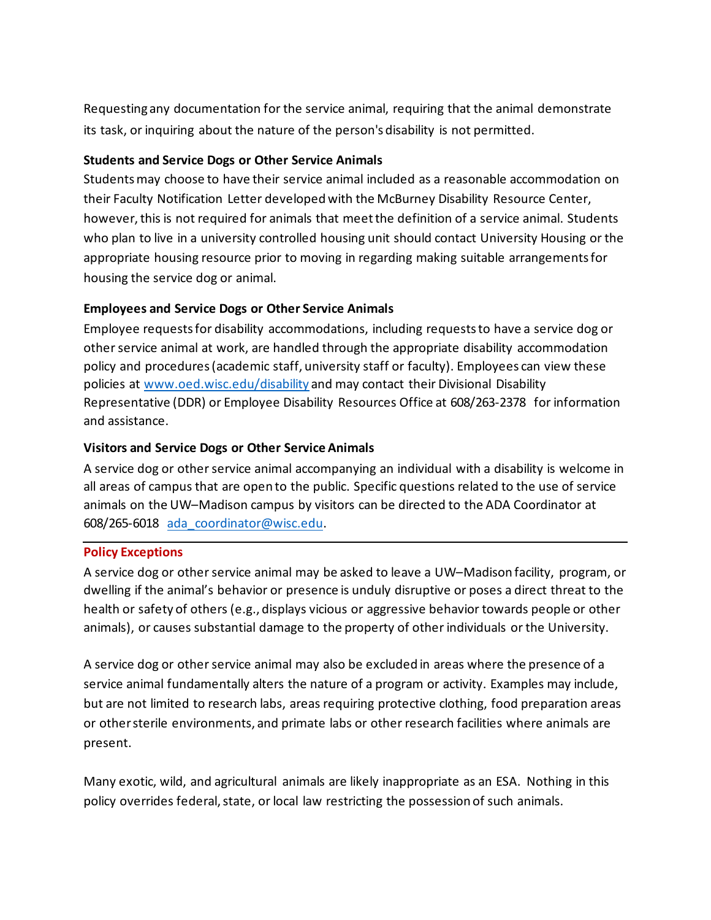Requesting any documentation for the service animal, requiring that the animal demonstrate its task, or inquiring about the nature of the person's disability is not permitted.

# **Students and Service Dogs or Other Service Animals**

Students may choose to have their service animal included as a reasonable accommodation on their Faculty Notification Letter developed with the McBurney Disability Resource Center, however,this is not required for animals that meet the definition of a service animal. Students who plan to live in a university controlled housing unit should contact University Housing or the appropriate housing resource prior to moving in regarding making suitable arrangements for housing the service dog or animal.

# **Employees and Service Dogs or Other Service Animals**

Employee requests for disability accommodations, including requests to have a service dog or other service animal at work, are handled through the appropriate disability accommodation policy and procedures (academic staff, university staff or faculty). Employees can view these policies at [www.oed.wisc.edu/disability](http://www.oed.wisc.edu/disability) and may contact their Divisional Disability Representative (DDR) or Employee Disability Resources Office at 608/263-2378 for information and assistance.

# **Visitors and Service Dogs or Other Service Animals**

A service dog or other service animal accompanying an individual with a disability is welcome in all areas of campus that are open to the public. Specific questions related to the use of service animals on the UW–Madison campus by visitors can be directed to the ADA Coordinator at 608/265-6018 [ada\\_coordinator@wisc.edu.](mailto:ada_coordinator@wisc.edu)

#### **Policy Exceptions**

A service dog or other service animal may be asked to leave a UW–Madison facility, program, or dwelling if the animal's behavior or presence is unduly disruptive or poses a direct threat to the health or safety of others (e.g., displays vicious or aggressive behavior towards people or other animals), or causes substantial damage to the property of other individuals or the University.

A service dog or other service animal may also be excluded in areas where the presence of a service animal fundamentally alters the nature of a program or activity. Examples may include, but are not limited to research labs, areas requiring protective clothing, food preparation areas or other sterile environments, and primate labs or other research facilities where animals are present.

Many exotic, wild, and agricultural animals are likely inappropriate as an ESA. Nothing in this policy overrides federal, state, or local law restricting the possession of such animals.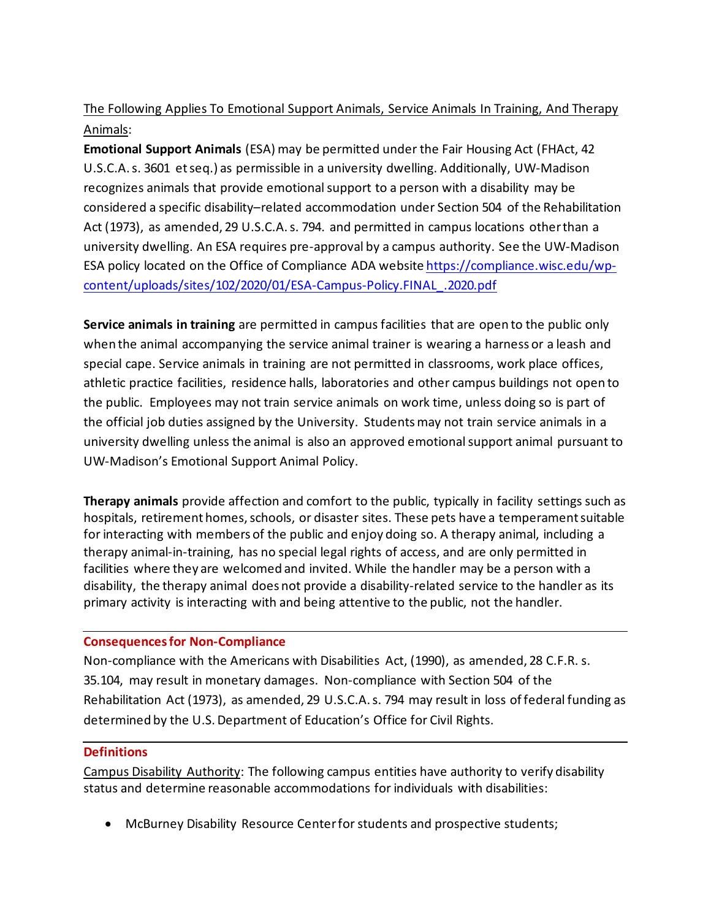# The Following Applies To Emotional Support Animals, Service Animals In Training, And Therapy Animals:

**Emotional Support Animals** (ESA) may be permitted under the Fair Housing Act (FHAct, 42 U.S.C.A. s. 3601 et seq.) as permissible in a university dwelling. Additionally, UW-Madison recognizes animals that provide emotional support to a person with a disability may be considered a specific disability–related accommodation under Section 504 of the Rehabilitation Act (1973), as amended, 29 U.S.C.A. s. 794. and permitted in campus locations other than a university dwelling. An ESA requires pre-approval by a campus authority. See the UW-Madison ESA policy located on the Office of Compliance ADA website [https://compliance.wisc.edu/wp](https://compliance.wisc.edu/wp-content/uploads/sites/102/2020/01/ESA-Campus-Policy.FINAL_.2020.pdf)[content/uploads/sites/102/2020/01/ESA-Campus-Policy.FINAL\\_.2020.pdf](https://compliance.wisc.edu/wp-content/uploads/sites/102/2020/01/ESA-Campus-Policy.FINAL_.2020.pdf)

**Service animals in training** are permitted in campus facilities that are open to the public only when the animal accompanying the service animal trainer is wearing a harness or a leash and special cape. Service animals in training are not permitted in classrooms, work place offices, athletic practice facilities, residence halls, laboratories and other campus buildings not open to the public. Employees may not train service animals on work time, unless doing so is part of the official job duties assigned by the University. Students may not train service animals in a university dwelling unless the animal is also an approved emotional support animal pursuant to UW-Madison's Emotional Support Animal Policy.

**Therapy animals** provide affection and comfort to the public, typically in facility settings such as hospitals, retirement homes, schools, or disaster sites. These pets have a temperament suitable for interacting with members of the public and enjoy doing so. A therapy animal, including a therapy animal-in-training, has no special legal rights of access, and are only permitted in facilities where they are welcomed and invited. While the handler may be a person with a disability, the therapy animal does not provide a disability-related service to the handler as its primary activity is interacting with and being attentive to the public, not the handler.

# **Consequences for Non-Compliance**

Non-compliance with the Americans with Disabilities Act, (1990), as amended, 28 C.F.R. s. 35.104, may result in monetary damages. Non-compliance with Section 504 of the Rehabilitation Act (1973), as amended, 29 U.S.C.A. s. 794 may result in loss of federal funding as determined by the U.S. Department of Education's Office for Civil Rights.

#### **Definitions**

Campus Disability Authority: The following campus entities have authority to verify disability status and determine reasonable accommodations for individuals with disabilities:

• McBurney Disability Resource Center for students and prospective students;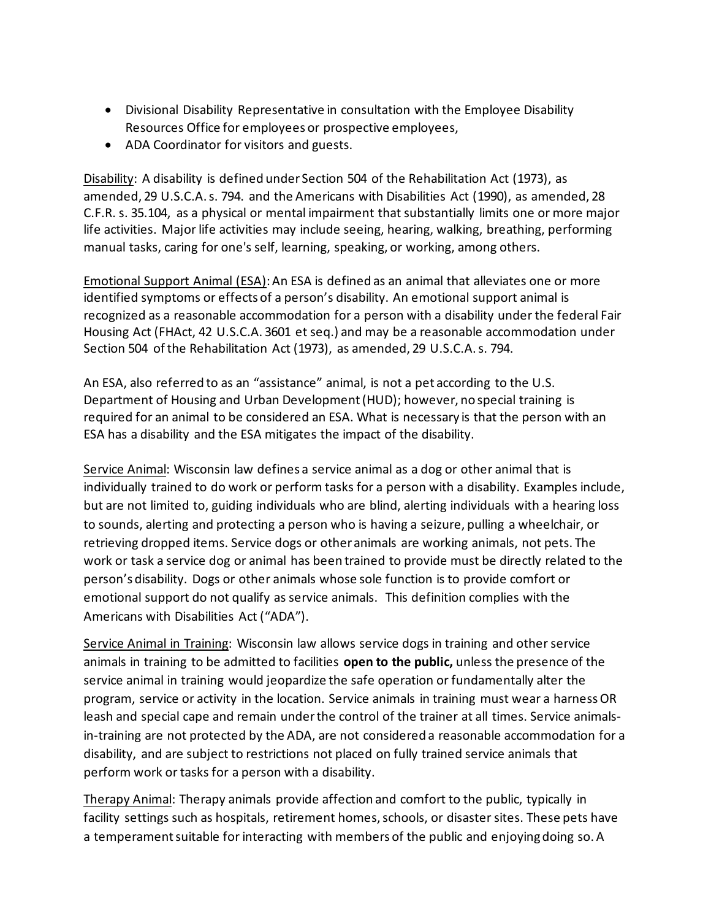- Divisional Disability Representative in consultation with the Employee Disability Resources Office for employees or prospective employees,
- ADA Coordinator for visitors and guests.

Disability: A disability is defined under Section 504 of the Rehabilitation Act (1973), as amended, 29 U.S.C.A. s. 794. and the Americans with Disabilities Act (1990), as amended, 28 C.F.R. s. 35.104, as a physical or mental impairment that substantially limits one or more major life activities. Major life activities may include seeing, hearing, walking, breathing, performing manual tasks, caring for one's self, learning, speaking, or working, among others.

Emotional Support Animal (ESA): An ESA is defined as an animal that alleviates one or more identified symptoms or effects of a person's disability. An emotional support animal is recognized as a reasonable accommodation for a person with a disability under the federal Fair Housing Act (FHAct, 42 U.S.C.A. 3601 et seq.) and may be a reasonable accommodation under Section 504 of the Rehabilitation Act (1973), as amended, 29 U.S.C.A. s. 794.

An ESA, also referred to as an "assistance" animal, is not a pet according to the U.S. Department of Housing and Urban Development (HUD); however, no special training is required for an animal to be considered an ESA. What is necessary is that the person with an ESA has a disability and the ESA mitigates the impact of the disability.

Service Animal: Wisconsin law defines a service animal as a dog or other animal that is individually trained to do work or perform tasks for a person with a disability. Examples include, but are not limited to, guiding individuals who are blind, alerting individuals with a hearing loss to sounds, alerting and protecting a person who is having a seizure, pulling a wheelchair, or retrieving dropped items. Service dogs or other animals are working animals, not pets. The work or task a service dog or animal has been trained to provide must be directly related to the person's disability. Dogs or other animals whose sole function is to provide comfort or emotional support do not qualify as service animals. This definition complies with the Americans with Disabilities Act ("ADA").

Service Animal in Training: Wisconsin law allows service dogs in training and other service animals in training to be admitted to facilities **open to the public,** unless the presence of the service animal in training would jeopardize the safe operation or fundamentally alter the program, service or activity in the location. Service animals in training must wear a harness OR leash and special cape and remain under the control of the trainer at all times. Service animalsin-training are not protected by the ADA, are not considered a reasonable accommodation for a disability, and are subject to restrictions not placed on fully trained service animals that perform work or tasks for a person with a disability.

Therapy Animal: Therapy animals provide affection and comfort to the public, typically in facility settings such as hospitals, retirement homes, schools, or disaster sites. These pets have a temperament suitable for interacting with members of the public and enjoying doing so. A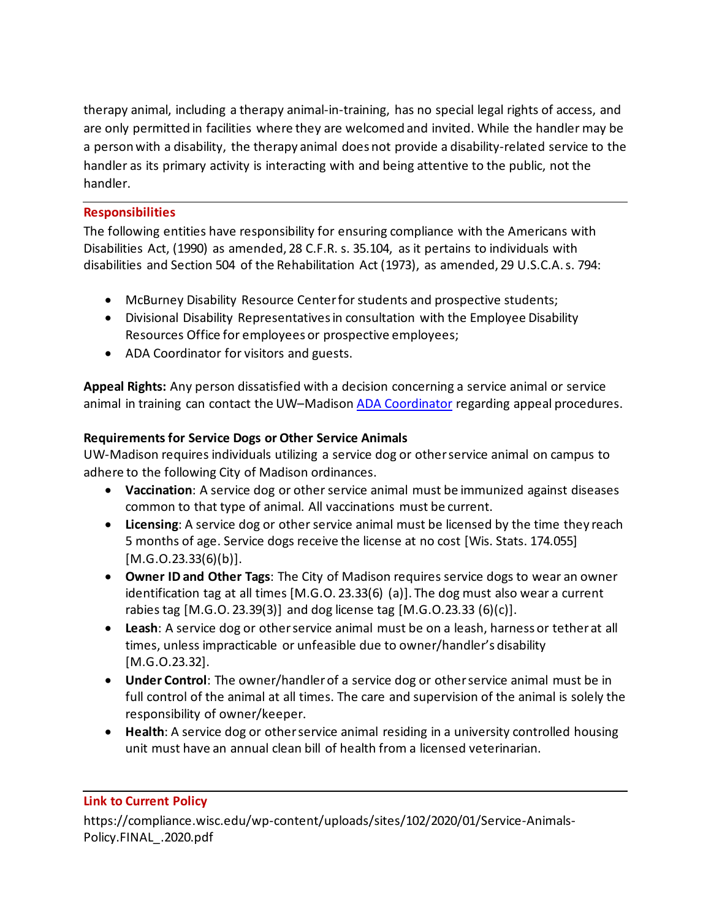therapy animal, including a therapy animal-in-training, has no special legal rights of access, and are only permitted in facilities where they are welcomed and invited. While the handler may be a person with a disability, the therapy animal does not provide a disability-related service to the handler as its primary activity is interacting with and being attentive to the public, not the handler.

# **Responsibilities**

The following entities have responsibility for ensuring compliance with the Americans with Disabilities Act, (1990) as amended, 28 C.F.R. s. 35.104, as it pertains to individuals with disabilities and Section 504 of the Rehabilitation Act (1973), as amended, 29 U.S.C.A. s. 794:

- McBurney Disability Resource Center for students and prospective students;
- Divisional Disability Representatives in consultation with the Employee Disability Resources Office for employees or prospective employees;
- ADA Coordinator for visitors and guests.

**Appeal Rights:** Any person dissatisfied with a decision concerning a service animal or service animal in training can contact the UW–Madison [ADA Coordinator](https://compliance.wisc.edu/ada/) regarding appeal procedures.

# **Requirements for Service Dogs or Other Service Animals**

UW-Madison requires individuals utilizing a service dog or other service animal on campus to adhere to the following City of Madison ordinances.

- **Vaccination**: A service dog or other service animal must be immunized against diseases common to that type of animal. All vaccinations must be current.
- **Licensing**: A service dog or other service animal must be licensed by the time they reach 5 months of age. Service dogs receive the license at no cost [Wis. Stats. 174.055]  $[M.G. O.23.33(6)(b)].$
- **Owner ID and Other Tags**: The City of Madison requires service dogs to wear an owner identification tag at all times [M.G.O. 23.33(6) (a)]. The dog must also wear a current rabies tag [M.G.O. 23.39(3)] and dog license tag [M.G.O.23.33 (6)(c)].
- **Leash**: A service dog or other service animal must be on a leash, harness or tether at all times, unless impracticable or unfeasible due to owner/handler's disability [M.G.O.23.32].
- **Under Control**: The owner/handler of a service dog or other service animal must be in full control of the animal at all times. The care and supervision of the animal is solely the responsibility of owner/keeper.
- **Health**: A service dog or other service animal residing in a university controlled housing unit must have an annual clean bill of health from a licensed veterinarian.

#### **[Link to Current Policy](http://www.wisconsin.edu/bor/policies/rpd/rpd3-2.htm)**

https://compliance.wisc.edu/wp-content/uploads/sites/102/2020/01/Service-Animals-Policy.FINAL\_.2020.pdf